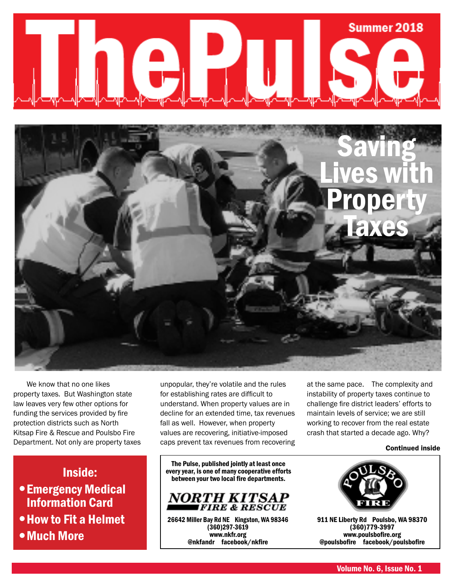



We know that no one likes property taxes. But Washington state law leaves very few other options for funding the services provided by fire protection districts such as North Kitsap Fire & Rescue and Poulsbo Fire Department. Not only are property taxes

Inside:

- Emergency Medical Information Card
- How to Fit a Helmet

Much More

unpopular, they're volatile and the rules for establishing rates are difficult to understand. When property values are in decline for an extended time, tax revenues fall as well. However, when property values are recovering, initiative-imposed caps prevent tax revenues from recovering

The Pulse, published jointly at least once every year, is one of many cooperative efforts between your two local fire departments.



26642 Miller Bay Rd NE Kingston, WA 98346 (360)297-3619 www.nkfr.org @nkfandr facebook/nkfire

at the same pace. The complexity and instability of property taxes continue to challenge fire district leaders' efforts to maintain levels of service; we are still working to recover from the real estate crash that started a decade ago. Why?

#### Continued inside



911 NE Liberty Rd Poulsbo, WA 98370 (360)779-3997 www.poulsbofire.org @poulsbofire facebook/poulsbofire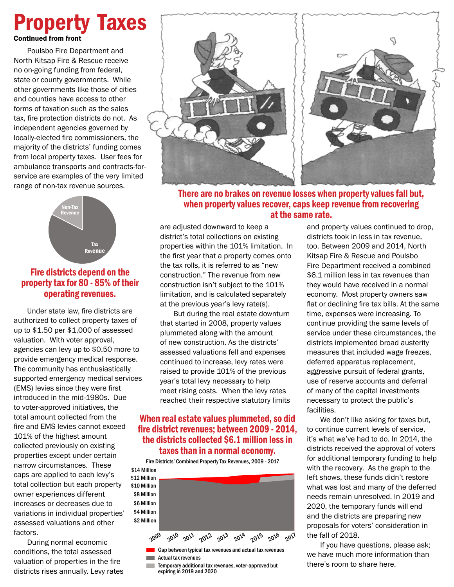### Continued from front Property Taxes

Poulsbo Fire Department and North Kitsap Fire & Rescue receive no on-going funding from federal, state or county governments. While other governments like those of cities and counties have access to other forms of taxation such as the sales tax, fire protection districts do not. As independent agencies governed by locally-elected fire commissioners, the majority of the districts' funding comes from local property taxes. User fees for ambulance transports and contracts-forservice are examples of the very limited range of non-tax revenue sources.



### Fire districts depend on the property tax for 80 - 85% of their operating revenues.

Under state law, fire districts are authorized to collect property taxes of up to \$1.50 per \$1,000 of assessed valuation. With voter approval, agencies can levy up to \$0.50 more to provide emergency medical response. The community has enthusiastically supported emergency medical services (EMS) levies since they were first introduced in the mid-1980s. Due to voter-approved initiatives, the total amount collected from the fire and EMS levies cannot exceed 101% of the highest amount collected previously on existing properties except under certain narrow circumstances. These caps are applied to each levy's total collection but each property owner experiences different increases or decreases due to variations in individual properties' assessed valuations and other factors.

During normal economic conditions, the total assessed valuation of properties in the fire districts rises annually. Levy rates



### There are no brakes on revenue losses when property values fall but, when property values recover, caps keep revenue from recovering at the same rate.

are adjusted downward to keep a district's total collections on existing properties within the 101% limitation. In the first year that a property comes onto the tax rolls, it is referred to as "new construction." The revenue from new construction isn't subject to the 101% limitation, and is calculated separately at the previous year's levy rate(s).

But during the real estate downturn that started in 2008, property values plummeted along with the amount of new construction. As the districts' assessed valuations fell and expenses continued to increase, levy rates were raised to provide 101% of the previous year's total levy necessary to help meet rising costs. When the levy rates reached their respective statutory limits

### When real estate values plummeted, so did fire district revenues; between 2009 - 2014, the districts collected \$6.1 million less in taxes than in a normal economy.

Fire Districts' Combined Property Tax Revenues, 2009 - 2017



- **Actual tax revenues**
- **Temporary additional tax revenues, voter-approved but** expiring in 2019 and 2020

and property values continued to drop, districts took in less in tax revenue, too. Between 2009 and 2014, North Kitsap Fire & Rescue and Poulsbo Fire Department received a combined \$6.1 million less in tax revenues than they would have received in a normal economy. Most property owners saw flat or declining fire tax bills. At the same time, expenses were increasing. To continue providing the same levels of service under these circumstances, the districts implemented broad austerity measures that included wage freezes, deferred apparatus replacement, aggressive pursuit of federal grants, use of reserve accounts and deferral of many of the capital investments necessary to protect the public's facilities.

We don't like asking for taxes but, to continue current levels of service, it's what we've had to do. In 2014, the districts received the approval of voters for additional temporary funding to help with the recovery. As the graph to the left shows, these funds didn't restore what was lost and many of the deferred needs remain unresolved. In 2019 and 2020, the temporary funds will end and the districts are preparing new proposals for voters' consideration in the fall of 2018.

If you have questions, please ask; we have much more information than there's room to share here.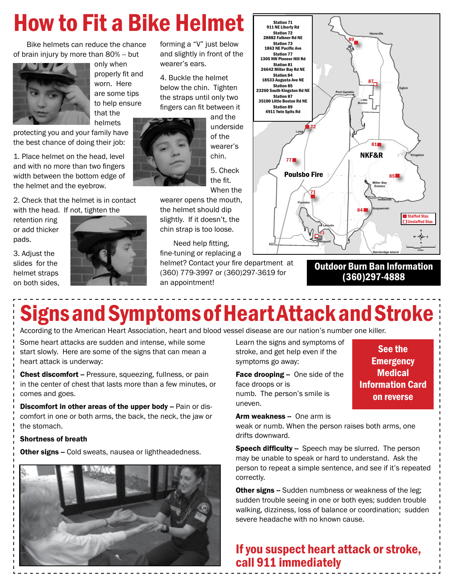# How to Fit a Bike Helmet

Bike helmets can reduce the chance of brain injury by more than 80% -- but



only when properly fit and worn. Here are some tips to help ensure that the helmets

protecting you and your family have the best chance of doing their job:

1. Place helmet on the head, level and with no more than two fingers width between the bottom edge of the helmet and the eyebrow.

2. Check that the helmet is in contact with the head. If not, tighten the

retention ring or add thicker pads.

3. Adjust the slides for the helmet straps on both sides,



forming a "V" just below and slightly in front of the wearer's ears.

4. Buckle the helmet below the chin. Tighten the straps until only two fingers can fit between it



underside of the wearer's chin.

and the

5. Check the fit. When the

wearer opens the mouth, the helmet should dip slightly. If it doesn't, the chin strap is too loose.

Need help fitting, fine-tuning or replacing a

helmet? Contact your fire department at (360) 779-3997 or (360)297-3619 for an appointment!



Outdoor Burn Ban Information (360)297-4888

# Signs and Symptoms of Heart Attack and Stroke

According to the American Heart Association, heart and blood vessel disease are our nation's number one killer.

Some heart attacks are sudden and intense, while some start slowly. Here are some of the signs that can mean a heart attack is underway:

Chest discomfort -- Pressure, squeezing, fullness, or pain in the center of chest that lasts more than a few minutes, or comes and goes.

**Discomfort in other areas of the upper body --** Pain or discomfort in one or both arms, the back, the neck, the jaw or the stomach.

#### Shortness of breath

Other signs -- Cold sweats, nausea or lightheadedness.



Learn the signs and symptoms of stroke, and get help even if the symptoms go away:

Face drooping - One side of the face droops or is numb. The person's smile is uneven.

See the **Emergency Medical** Information Card on reverse

Arm weakness -- One arm is

weak or numb. When the person raises both arms, one drifts downward.

Speech difficulty -- Speech may be slurred. The person may be unable to speak or hard to understand. Ask the person to repeat a simple sentence, and see if it's repeated correctly.

**Other signs --** Sudden numbness or weakness of the leg; sudden trouble seeing in one or both eyes; sudden trouble walking, dizziness, loss of balance or coordination; sudden severe headache with no known cause.

### If you suspect heart attack or stroke, call 911 immediately